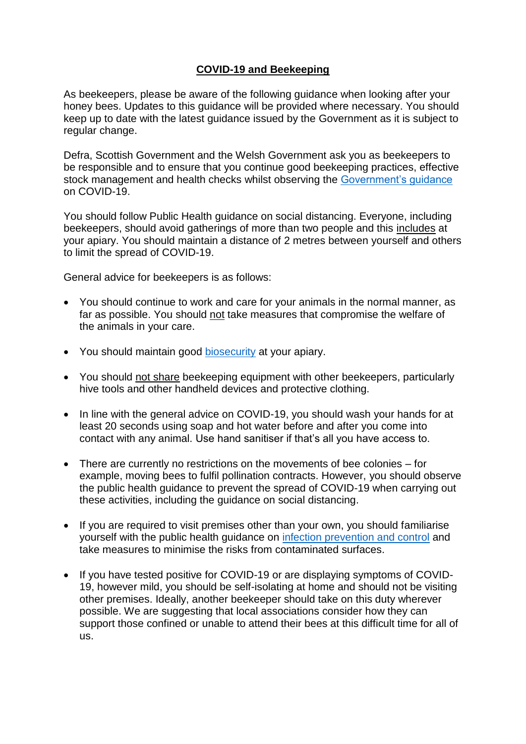## **COVID-19 and Beekeeping**

As beekeepers, please be aware of the following guidance when looking after your honey bees. Updates to this guidance will be provided where necessary. You should keep up to date with the latest guidance issued by the Government as it is subject to regular change.

Defra, Scottish Government and the Welsh Government ask you as beekeepers to be responsible and to ensure that you continue good beekeeping practices, effective stock management and health checks whilst observing the [Government's guidance](https://www.gov.uk/coronavirus) on COVID-19.

You should follow Public Health guidance on social distancing. Everyone, including beekeepers, should avoid gatherings of more than two people and this includes at your apiary. You should maintain a distance of 2 metres between yourself and others to limit the spread of COVID-19.

General advice for beekeepers is as follows:

- You should continue to work and care for your animals in the normal manner, as far as possible. You should not take measures that compromise the welfare of the animals in your care.
- You should maintain good [biosecurity](http://www.nationalbeeunit.com/index.cfm?pageid=167) at your apiary.
- You should not share beekeeping equipment with other beekeepers, particularly hive tools and other handheld devices and protective clothing.
- In line with the general advice on COVID-19, you should wash your hands for at least 20 seconds using soap and hot water before and after you come into contact with any animal. Use hand sanitiser if that's all you have access to.
- There are currently no restrictions on the movements of bee colonies for example, moving bees to fulfil pollination contracts. However, you should observe the public health guidance to prevent the spread of COVID-19 when carrying out these activities, including the guidance on social distancing.
- If you are required to visit premises other than your own, you should familiarise yourself with the public health guidance on [infection prevention and control](https://www.gov.uk/government/publications/covid-19-decontamination-in-non-healthcare-settings/covid-19-decontamination-in-non-healthcare-settings) and take measures to minimise the risks from contaminated surfaces.
- If you have tested positive for COVID-19 or are displaying symptoms of COVID-19, however mild, you should be self-isolating at home and should not be visiting other premises. Ideally, another beekeeper should take on this duty wherever possible. We are suggesting that local associations consider how they can support those confined or unable to attend their bees at this difficult time for all of us.